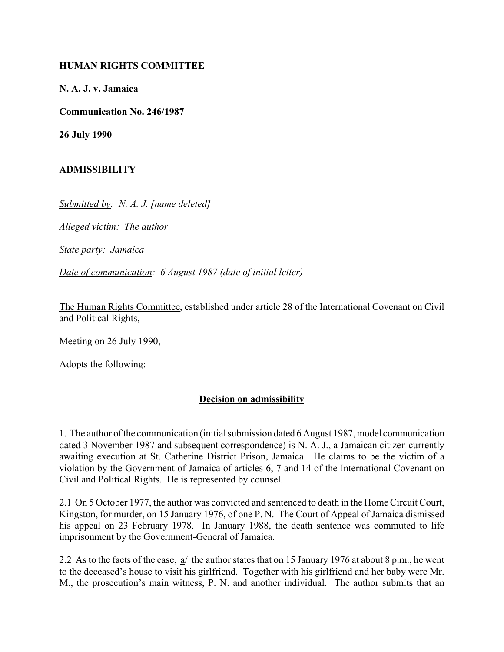## **HUMAN RIGHTS COMMITTEE**

## **N. A. J. v. Jamaica**

**Communication No. 246/1987**

**26 July 1990**

## **ADMISSIBILITY**

*Submitted by: N. A. J. [name deleted]*

*Alleged victim: The author*

*State party: Jamaica*

*Date of communication: 6 August 1987 (date of initial letter)*

The Human Rights Committee, established under article 28 of the International Covenant on Civil and Political Rights,

Meeting on 26 July 1990,

Adopts the following:

## **Decision on admissibility**

1. The author of the communication (initial submission dated 6 August 1987, model communication dated 3 November 1987 and subsequent correspondence) is N. A. J., a Jamaican citizen currently awaiting execution at St. Catherine District Prison, Jamaica. He claims to be the victim of a violation by the Government of Jamaica of articles 6, 7 and 14 of the International Covenant on Civil and Political Rights. He is represented by counsel.

2.1 On 5 October 1977, the author was convicted and sentenced to death in the Home Circuit Court, Kingston, for murder, on 15 January 1976, of one P. N. The Court of Appeal of Jamaica dismissed his appeal on 23 February 1978. In January 1988, the death sentence was commuted to life imprisonment by the Government-General of Jamaica.

2.2 As to the facts of the case,  $a/$  the author states that on 15 January 1976 at about 8 p.m., he went to the deceased's house to visit his girlfriend. Together with his girlfriend and her baby were Mr. M., the prosecution's main witness, P. N. and another individual. The author submits that an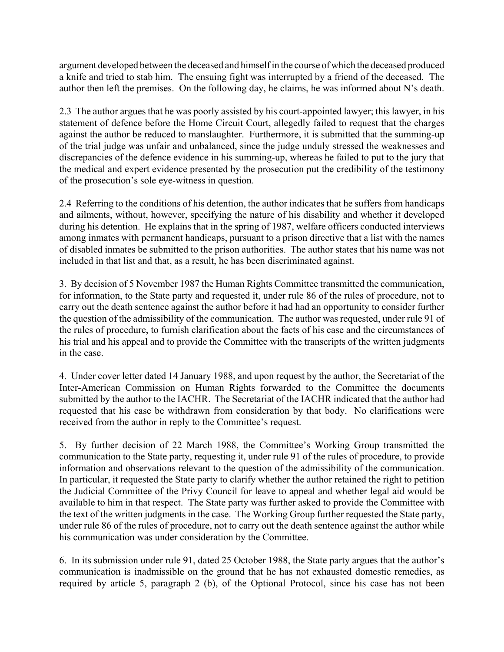argument developed between the deceased and himself in the course of which the deceased produced a knife and tried to stab him. The ensuing fight was interrupted by a friend of the deceased. The author then left the premises. On the following day, he claims, he was informed about  $N$ 's death.

2.3 The author argues that he was poorly assisted by his court-appointed lawyer; this lawyer, in his statement of defence before the Home Circuit Court, allegedly failed to request that the charges against the author be reduced to manslaughter. Furthermore, it is submitted that the summing-up of the trial judge was unfair and unbalanced, since the judge unduly stressed the weaknesses and discrepancies of the defence evidence in his summing-up, whereas he failed to put to the jury that the medical and expert evidence presented by the prosecution put the credibility of the testimony of the prosecution's sole eye-witness in question.

2.4 Referring to the conditions of his detention, the author indicates that he suffers from handicaps and ailments, without, however, specifying the nature of his disability and whether it developed during his detention. He explains that in the spring of 1987, welfare officers conducted interviews among inmates with permanent handicaps, pursuant to a prison directive that a list with the names of disabled inmates be submitted to the prison authorities. The author states that his name was not included in that list and that, as a result, he has been discriminated against.

3. By decision of 5 November 1987 the Human Rights Committee transmitted the communication, for information, to the State party and requested it, under rule 86 of the rules of procedure, not to carry out the death sentence against the author before it had had an opportunity to consider further the question of the admissibility of the communication. The author was requested, under rule 91 of the rules of procedure, to furnish clarification about the facts of his case and the circumstances of his trial and his appeal and to provide the Committee with the transcripts of the written judgments in the case.

4. Under cover letter dated 14 January 1988, and upon request by the author, the Secretariat of the Inter-American Commission on Human Rights forwarded to the Committee the documents submitted by the author to the IACHR. The Secretariat of the IACHR indicated that the author had requested that his case be withdrawn from consideration by that body. No clarifications were received from the author in reply to the Committee's request.

5. By further decision of 22 March 1988, the Committee's Working Group transmitted the communication to the State party, requesting it, under rule 91 of the rules of procedure, to provide information and observations relevant to the question of the admissibility of the communication. In particular, it requested the State party to clarify whether the author retained the right to petition the Judicial Committee of the Privy Council for leave to appeal and whether legal aid would be available to him in that respect. The State party was further asked to provide the Committee with the text of the written judgments in the case. The Working Group further requested the State party, under rule 86 of the rules of procedure, not to carry out the death sentence against the author while his communication was under consideration by the Committee.

6. In its submission under rule 91, dated 25 October 1988, the State party argues that the author's communication is inadmissible on the ground that he has not exhausted domestic remedies, as required by article 5, paragraph 2 (b), of the Optional Protocol, since his case has not been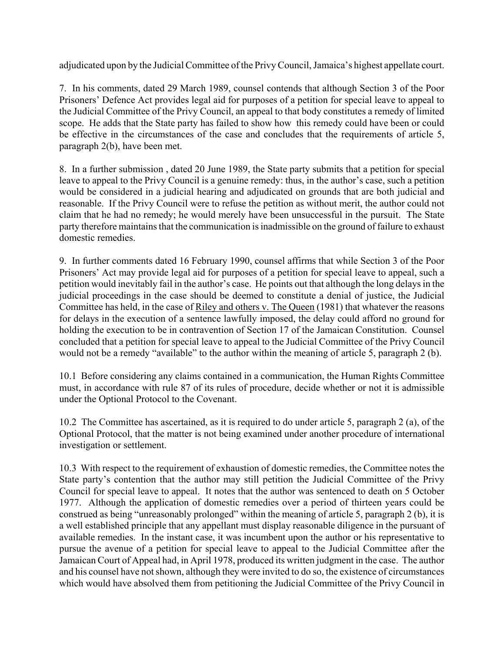adjudicated upon by the Judicial Committee of the Privy Council, Jamaica's highest appellate court.

7. In his comments, dated 29 March 1989, counsel contends that although Section 3 of the Poor Prisoners' Defence Act provides legal aid for purposes of a petition for special leave to appeal to the Judicial Committee of the Privy Council, an appeal to that body constitutes a remedy of limited scope. He adds that the State party has failed to show how this remedy could have been or could be effective in the circumstances of the case and concludes that the requirements of article 5, paragraph 2(b), have been met.

8. In a further submission , dated 20 June 1989, the State party submits that a petition for special leave to appeal to the Privy Council is a genuine remedy: thus, in the author's case, such a petition would be considered in a judicial hearing and adjudicated on grounds that are both judicial and reasonable. If the Privy Council were to refuse the petition as without merit, the author could not claim that he had no remedy; he would merely have been unsuccessful in the pursuit. The State party therefore maintains that the communication is inadmissible on the ground of failure to exhaust domestic remedies.

9. In further comments dated 16 February 1990, counsel affirms that while Section 3 of the Poor Prisoners' Act may provide legal aid for purposes of a petition for special leave to appeal, such a petition would inevitably fail in the author's case. He points out that although the long delays in the judicial proceedings in the case should be deemed to constitute a denial of justice, the Judicial Committee has held, in the case of Riley and others v. The Queen (1981) that whatever the reasons for delays in the execution of a sentence lawfully imposed, the delay could afford no ground for holding the execution to be in contravention of Section 17 of the Jamaican Constitution. Counsel concluded that a petition for special leave to appeal to the Judicial Committee of the Privy Council would not be a remedy "available" to the author within the meaning of article 5, paragraph  $2$  (b).

10.1 Before considering any claims contained in a communication, the Human Rights Committee must, in accordance with rule 87 of its rules of procedure, decide whether or not it is admissible under the Optional Protocol to the Covenant.

10.2 The Committee has ascertained, as it is required to do under article 5, paragraph 2 (a), of the Optional Protocol, that the matter is not being examined under another procedure of international investigation or settlement.

10.3 With respect to the requirement of exhaustion of domestic remedies, the Committee notes the State party's contention that the author may still petition the Judicial Committee of the Privy Council for special leave to appeal. It notes that the author was sentenced to death on 5 October 1977. Although the application of domestic remedies over a period of thirteen years could be construed as being "unreasonably prolonged" within the meaning of article 5, paragraph 2 (b), it is a well established principle that any appellant must display reasonable diligence in the pursuant of available remedies. In the instant case, it was incumbent upon the author or his representative to pursue the avenue of a petition for special leave to appeal to the Judicial Committee after the Jamaican Court of Appeal had, in April 1978, produced its written judgment in the case. The author and his counsel have not shown, although they were invited to do so, the existence of circumstances which would have absolved them from petitioning the Judicial Committee of the Privy Council in